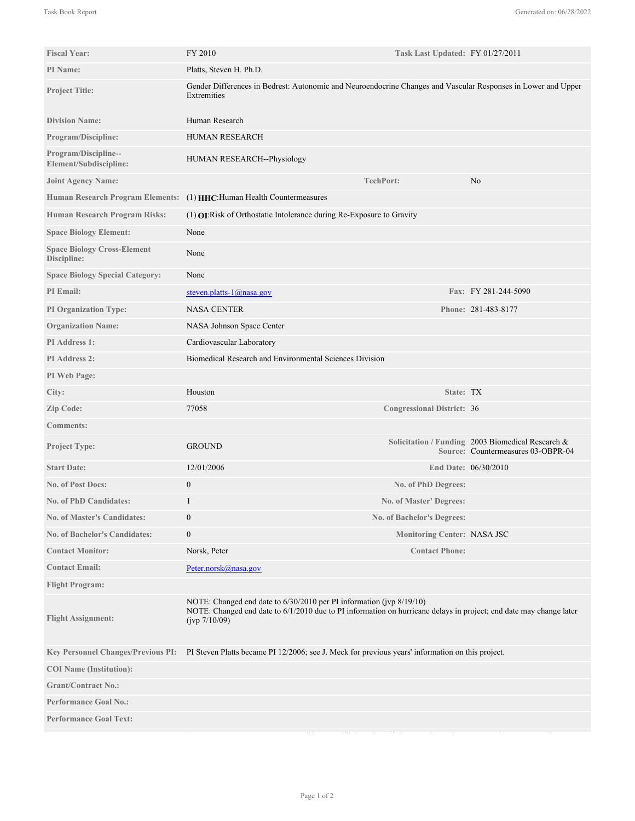| <b>Fiscal Year:</b>                               | FY 2010                                                                                                                                                                                                     | Task Last Updated: FY 01/27/2011  |                                                                                         |
|---------------------------------------------------|-------------------------------------------------------------------------------------------------------------------------------------------------------------------------------------------------------------|-----------------------------------|-----------------------------------------------------------------------------------------|
| PI Name:                                          | Platts, Steven H. Ph.D.                                                                                                                                                                                     |                                   |                                                                                         |
| <b>Project Title:</b>                             | Gender Differences in Bedrest: Autonomic and Neuroendocrine Changes and Vascular Responses in Lower and Upper<br>Extremities                                                                                |                                   |                                                                                         |
| <b>Division Name:</b>                             | Human Research                                                                                                                                                                                              |                                   |                                                                                         |
| <b>Program/Discipline:</b>                        | HUMAN RESEARCH                                                                                                                                                                                              |                                   |                                                                                         |
| Program/Discipline--<br>Element/Subdiscipline:    | HUMAN RESEARCH--Physiology                                                                                                                                                                                  |                                   |                                                                                         |
| <b>Joint Agency Name:</b>                         |                                                                                                                                                                                                             | <b>TechPort:</b>                  | No                                                                                      |
| <b>Human Research Program Elements:</b>           | (1) HHC: Human Health Countermeasures                                                                                                                                                                       |                                   |                                                                                         |
| Human Research Program Risks:                     | $(1)$ <b>OI</b> : Risk of Orthostatic Intolerance during Re-Exposure to Gravity                                                                                                                             |                                   |                                                                                         |
| <b>Space Biology Element:</b>                     | None                                                                                                                                                                                                        |                                   |                                                                                         |
| <b>Space Biology Cross-Element</b><br>Discipline: | None                                                                                                                                                                                                        |                                   |                                                                                         |
| <b>Space Biology Special Category:</b>            | None                                                                                                                                                                                                        |                                   |                                                                                         |
| PI Email:                                         | steven.platts- $1$ @nasa.gov                                                                                                                                                                                |                                   | Fax: FY 281-244-5090                                                                    |
| <b>PI Organization Type:</b>                      | <b>NASA CENTER</b>                                                                                                                                                                                          |                                   | Phone: 281-483-8177                                                                     |
| <b>Organization Name:</b>                         | NASA Johnson Space Center                                                                                                                                                                                   |                                   |                                                                                         |
| PI Address 1:                                     | Cardiovascular Laboratory                                                                                                                                                                                   |                                   |                                                                                         |
| PI Address 2:                                     | Biomedical Research and Environmental Sciences Division                                                                                                                                                     |                                   |                                                                                         |
| PI Web Page:                                      |                                                                                                                                                                                                             |                                   |                                                                                         |
| City:                                             | Houston                                                                                                                                                                                                     | State: TX                         |                                                                                         |
| Zip Code:                                         | 77058                                                                                                                                                                                                       | <b>Congressional District: 36</b> |                                                                                         |
| <b>Comments:</b>                                  |                                                                                                                                                                                                             |                                   |                                                                                         |
| <b>Project Type:</b>                              | <b>GROUND</b>                                                                                                                                                                                               |                                   | Solicitation / Funding 2003 Biomedical Research &<br>Source: Countermeasures 03-OBPR-04 |
| <b>Start Date:</b>                                | 12/01/2006                                                                                                                                                                                                  |                                   | End Date: 06/30/2010                                                                    |
| <b>No. of Post Docs:</b>                          | $\boldsymbol{0}$                                                                                                                                                                                            | No. of PhD Degrees:               |                                                                                         |
| <b>No. of PhD Candidates:</b>                     | 1                                                                                                                                                                                                           | <b>No. of Master' Degrees:</b>    |                                                                                         |
| <b>No. of Master's Candidates:</b>                | $\mathbf{0}$                                                                                                                                                                                                | No. of Bachelor's Degrees:        |                                                                                         |
| <b>No. of Bachelor's Candidates:</b>              | $\boldsymbol{0}$                                                                                                                                                                                            | Monitoring Center: NASA JSC       |                                                                                         |
| <b>Contact Monitor:</b>                           | Norsk, Peter                                                                                                                                                                                                | <b>Contact Phone:</b>             |                                                                                         |
| <b>Contact Email:</b>                             | Peter.norsk@nasa.gov                                                                                                                                                                                        |                                   |                                                                                         |
| <b>Flight Program:</b>                            |                                                                                                                                                                                                             |                                   |                                                                                         |
| <b>Flight Assignment:</b>                         | NOTE: Changed end date to 6/30/2010 per PI information (jvp 8/19/10)<br>NOTE: Changed end date to 6/1/2010 due to PI information on hurricane delays in project; end date may change later<br>(jvp 7/10/09) |                                   |                                                                                         |
| <b>Key Personnel Changes/Previous PI:</b>         | PI Steven Platts became PI 12/2006; see J. Meck for previous years' information on this project.                                                                                                            |                                   |                                                                                         |
| <b>COI</b> Name (Institution):                    |                                                                                                                                                                                                             |                                   |                                                                                         |
| <b>Grant/Contract No.:</b>                        |                                                                                                                                                                                                             |                                   |                                                                                         |
| <b>Performance Goal No.:</b>                      |                                                                                                                                                                                                             |                                   |                                                                                         |
| <b>Performance Goal Text:</b>                     |                                                                                                                                                                                                             |                                   |                                                                                         |
|                                                   |                                                                                                                                                                                                             |                                   |                                                                                         |